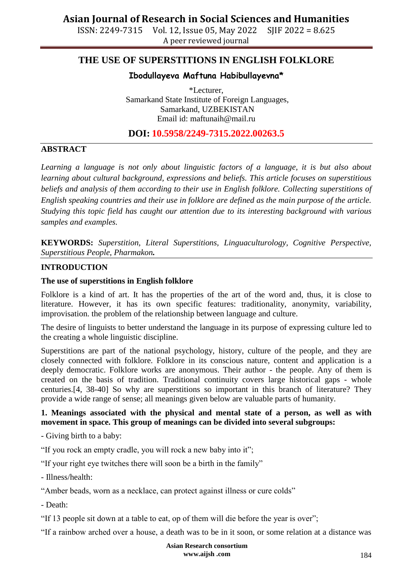ISSN: 2249-7315 Vol. 12, Issue 05, May 2022 SJIF 2022 = 8.625 A peer reviewed journal

# **THE USE OF SUPERSTITIONS IN ENGLISH FOLKLORE**

### **Ibodullayeva Maftuna Habibullayevna\***

\*Lecturer, Samarkand State Institute of Foreign Languages, Samarkand, UZBEKISTAN Email id: maftunaih@mail.ru

## **DOI: 10.5958/2249-7315.2022.00263.5**

### **ABSTRACT**

*Learning a language is not only about linguistic factors of a language, it is but also about learning about cultural background, expressions and beliefs. This article focuses on superstitious beliefs and analysis of them according to their use in English folklore. Collecting superstitions of English speaking countries and their use in folklore are defined as the main purpose of the article. Studying this topic field has caught our attention due to its interesting background with various samples and examples.*

**KEYWORDS:** *Superstition, Literal Superstitions, Linguaculturology, Cognitive Perspective, Superstitious People, Pharmakon.*

### **INTRODUCTION**

### **The use of superstitions in English folklore**

Folklore is a kind of art. It has the properties of the art of the word and, thus, it is close to literature. However, it has its own specific features: traditionality, anonymity, variability, improvisation. the problem of the relationship between language and culture.

The desire of linguists to better understand the language in its purpose of expressing culture led to the creating a whole linguistic discipline.

Superstitions are part of the national psychology, history, culture of the people, and they are closely connected with folklore. Folklore in its conscious nature, content and application is a deeply democratic. Folklore works are anonymous. Their author - the people. Any of them is created on the basis of tradition. Traditional continuity covers large historical gaps - whole centuries.[4, 38-40] So why are superstitions so important in this branch of literature? They provide a wide range of sense; all meanings given below are valuable parts of humanity.

### **1. Meanings associated with the physical and mental state of a person, as well as with movement in space. This group of meanings can be divided into several subgroups:**

- Giving birth to a baby:

"If you rock an empty cradle, you will rock a new baby into it";

"If your right eye twitches there will soon be a birth in the family"

- Illness/health:

"Amber beads, worn as a necklace, can protect against illness or cure colds"

- Death:

"If 13 people sit down at a table to eat, op of them will die before the year is over";

"If a rainbow arched over a house, a death was to be in it soon, or some relation at a distance was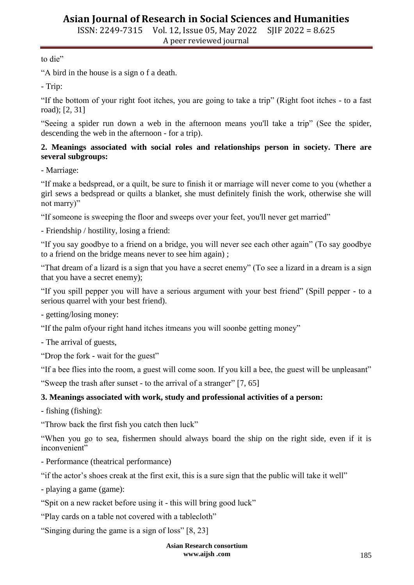to die"

"A bird in the house is a sign o f a death.

- Trip:

"If the bottom of your right foot itches, you are going to take a trip" (Right foot itches - to a fast road); [2, 31]

"Seeing a spider run down a web in the afternoon means you'll take a trip" (See the spider, descending the web in the afternoon - for a trip).

### **2. Meanings associated with social roles and relationships person in society. There are several subgroups:**

- Marriage:

"If make a bedspread, or а quilt, be sure to finish it or marriage will never come to you (whether a girl sews a bedspread or quilts a blanket, she must definitely finish the work, otherwise she will not marry)"

"If someone is sweeping the floor and sweeps over your feet, you'll never get married"

- Friendship / hostility, losing a friend:

"If you say goodbye to a friend on a bridge, you will never see each other again" (To say goodbye to a friend on the bridge means never to see him again) ;

"That dream of a lizard is a sign that you have a secret enemy" (To see a lizard in a dream is a sign that you have a secret enemy);

"If you spill pepper you will have a serious argument with your best friend" (Spill pepper - to a serious quarrel with your best friend).

- getting/losing money:

"If the palm ofyour right hand itches itmeans you will soonbe getting money"

- The arrival of guests,

"Drop the fork - wait for the guest"

"If a bee flies into the room, a guest will come soon. If you kill a bee, the guest will be unpleasant"

"Sweep the trash after sunset - to the arrival of a stranger" [7, 65]

# **3. Meanings associated with work, study and professional activities of a person:**

- fishing (fishing):

"Throw back the first fish you catch then luck"

"When you go to sea, fishermen should always board the ship on the right side, even if it is inconvenient"

- Performance (theatrical performance)

"if the actor's shoes creak at the first exit, this is a sure sign that the public will take it well"

- playing a game (game):

"Spit on a new racket before using it - this will bring good luck"

"Play cards on a table not covered with a tablecloth"

"Singing during the game is a sign of loss" [8, 23]

**Asian Research consortium www.aijsh .com**